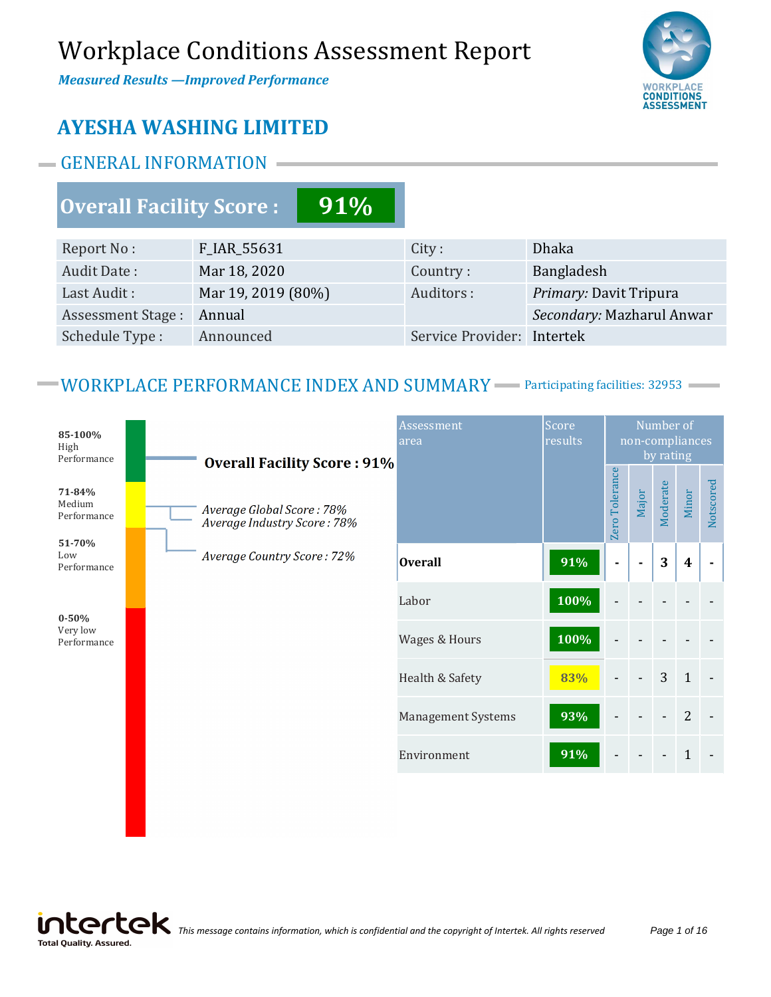# Workplace Conditions Assessment Report

*Measured Results ȄImproved Performance*



# **AYESHA WASHING LIMITED**

# GENERAL INFORMATION

# **Overall Facility Score : 91%**

| Report No:               | F_IAR_55631        | City:                      | <b>Dhaka</b>              |
|--------------------------|--------------------|----------------------------|---------------------------|
| Audit Date:              | Mar 18, 2020       | Country:                   | Bangladesh                |
| Last Audit:              | Mar 19, 2019 (80%) | Auditors:                  | Primary: Davit Tripura    |
| <b>Assessment Stage:</b> | Annual             |                            | Secondary: Mazharul Anwar |
| Schedule Type:           | Announced          | Service Provider: Intertek |                           |

## WORKPLACE PERFORMANCE INDEX AND SUMMARY - Participating facilities: 32953



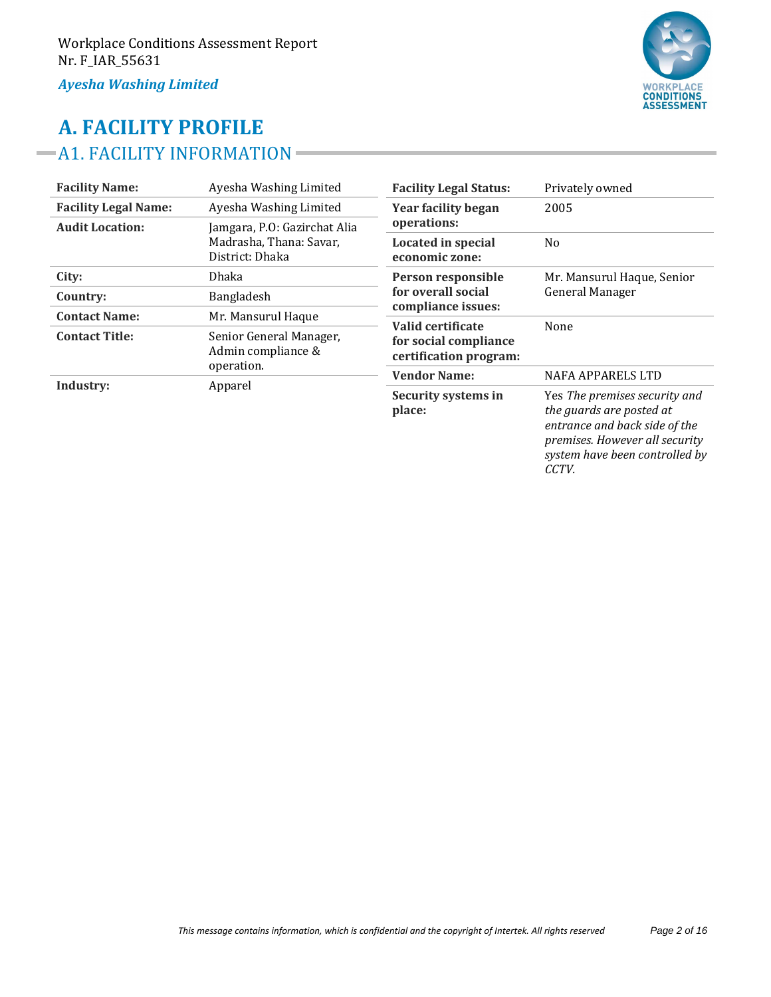# **CONDITIONS**<br>ASSESSMENT

# **A. FACILITY PROFILE** A1. FACILITY INFORMATION

| <b>Facility Name:</b>       | Ayesha Washing Limited                                                     | <b>Facility Legal Status:</b>                                        | Privately owned                                                                                                                                                         |  |
|-----------------------------|----------------------------------------------------------------------------|----------------------------------------------------------------------|-------------------------------------------------------------------------------------------------------------------------------------------------------------------------|--|
| <b>Facility Legal Name:</b> | Ayesha Washing Limited                                                     | <b>Year facility began</b>                                           | 2005                                                                                                                                                                    |  |
| <b>Audit Location:</b>      | Jamgara, P.O: Gazirchat Alia<br>Madrasha, Thana: Savar,<br>District: Dhaka |                                                                      | N <sub>o</sub>                                                                                                                                                          |  |
| City:                       | Dhaka                                                                      | Person responsible                                                   | Mr. Mansurul Haque, Senior                                                                                                                                              |  |
| Country:                    | <b>Bangladesh</b>                                                          | for overall social                                                   | General Manager<br>None                                                                                                                                                 |  |
| <b>Contact Name:</b>        | Mr. Mansurul Haque                                                         | compliance issues:                                                   |                                                                                                                                                                         |  |
| <b>Contact Title:</b>       | Senior General Manager,<br>Admin compliance &                              | Valid certificate<br>for social compliance<br>certification program: |                                                                                                                                                                         |  |
|                             | operation.                                                                 | <b>Vendor Name:</b>                                                  | NAFA APPARELS LTD                                                                                                                                                       |  |
| Industry:<br>Apparel        |                                                                            | Security systems in<br>place:                                        | Yes The premises security and<br>the guards are posted at<br>entrance and back side of the<br>premises. However all security<br>system have been controlled by<br>CCTV. |  |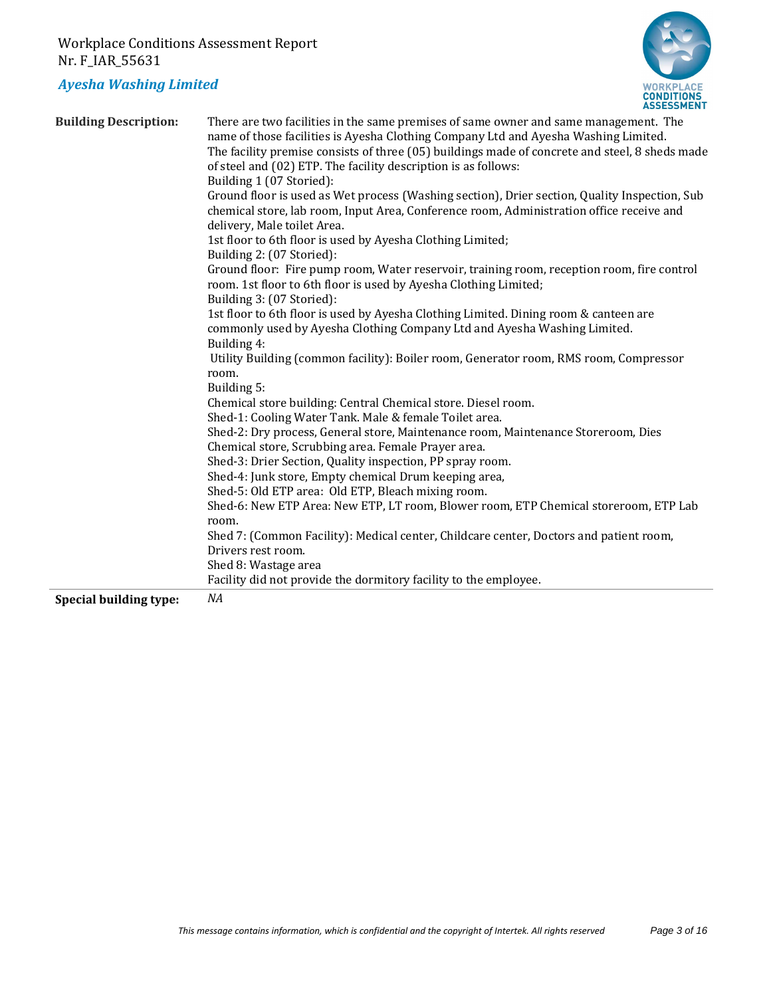Workplace Conditions Assessment Report Nr. F\_IAR\_55631

#### *Ayesha Washing Limited*



| <b>Building Description:</b>  | There are two facilities in the same premises of same owner and same management. The<br>name of those facilities is Ayesha Clothing Company Ltd and Ayesha Washing Limited.<br>The facility premise consists of three (05) buildings made of concrete and steel, 8 sheds made<br>of steel and (02) ETP. The facility description is as follows:<br>Building 1 (07 Storied):<br>Ground floor is used as Wet process (Washing section), Drier section, Quality Inspection, Sub<br>chemical store, lab room, Input Area, Conference room, Administration office receive and<br>delivery, Male toilet Area.<br>1st floor to 6th floor is used by Ayesha Clothing Limited;<br>Building 2: (07 Storied):<br>Ground floor: Fire pump room, Water reservoir, training room, reception room, fire control |
|-------------------------------|--------------------------------------------------------------------------------------------------------------------------------------------------------------------------------------------------------------------------------------------------------------------------------------------------------------------------------------------------------------------------------------------------------------------------------------------------------------------------------------------------------------------------------------------------------------------------------------------------------------------------------------------------------------------------------------------------------------------------------------------------------------------------------------------------|
|                               | room. 1st floor to 6th floor is used by Ayesha Clothing Limited;<br>Building 3: (07 Storied):<br>1st floor to 6th floor is used by Ayesha Clothing Limited. Dining room & canteen are<br>commonly used by Ayesha Clothing Company Ltd and Ayesha Washing Limited.<br>Building 4:<br>Utility Building (common facility): Boiler room, Generator room, RMS room, Compressor<br>room.<br>Building 5:<br>Chemical store building: Central Chemical store. Diesel room.<br>Shed-1: Cooling Water Tank. Male & female Toilet area.                                                                                                                                                                                                                                                                     |
|                               | Shed-2: Dry process, General store, Maintenance room, Maintenance Storeroom, Dies<br>Chemical store, Scrubbing area. Female Prayer area.<br>Shed-3: Drier Section, Quality inspection, PP spray room.<br>Shed-4: Junk store, Empty chemical Drum keeping area,<br>Shed-5: Old ETP area: Old ETP, Bleach mixing room.<br>Shed-6: New ETP Area: New ETP, LT room, Blower room, ETP Chemical storeroom, ETP Lab<br>room.<br>Shed 7: (Common Facility): Medical center, Childcare center, Doctors and patient room,<br>Drivers rest room.<br>Shed 8: Wastage area<br>Facility did not provide the dormitory facility to the employee.                                                                                                                                                                |
| <b>Special building type:</b> | NA                                                                                                                                                                                                                                                                                                                                                                                                                                                                                                                                                                                                                                                                                                                                                                                               |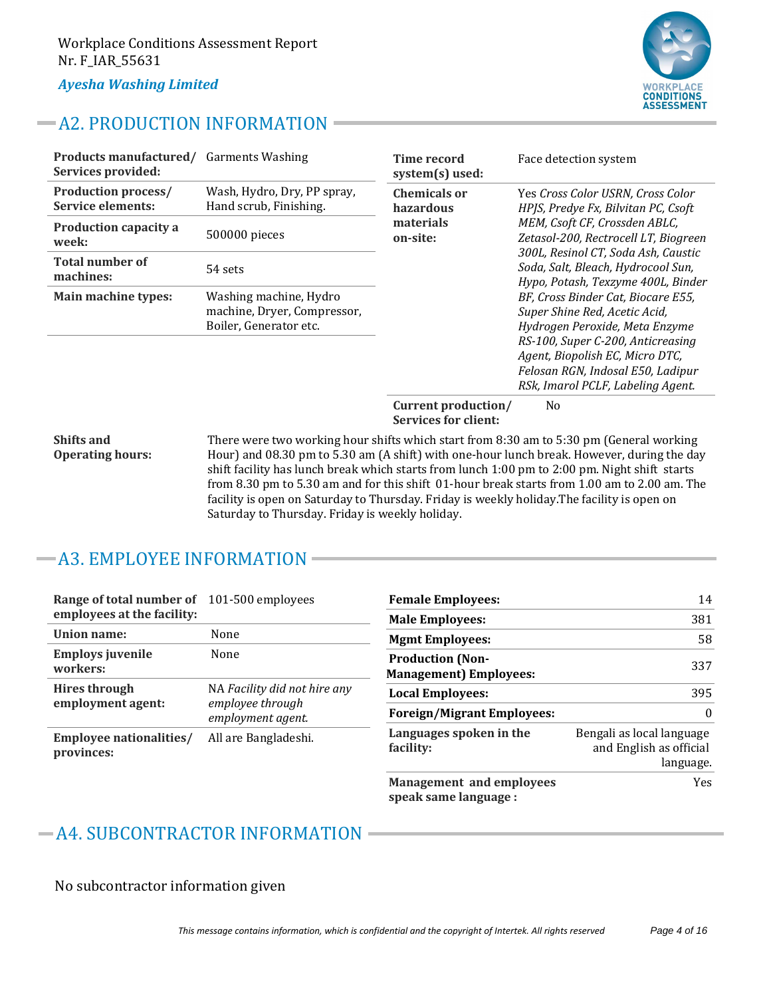

# A2. PRODUCTION INFORMATION

| Products manufactured/<br>Services provided:    | Garments Washing                                                                | <b>Time record</b><br>system(s) used: | Face detection system                                                                                                                          |
|-------------------------------------------------|---------------------------------------------------------------------------------|---------------------------------------|------------------------------------------------------------------------------------------------------------------------------------------------|
| <b>Production process/</b><br>Service elements: | Wash, Hydro, Dry, PP spray,<br>Hand scrub, Finishing.                           | <b>Chemicals or</b><br>hazardous      | Yes Cross Color USRN, Cross Color<br>HPJS, Predye Fx, Bilvitan PC, Csoft                                                                       |
| Production capacity a<br>week:                  | 500000 pieces                                                                   | materials<br>on-site:                 | MEM, Csoft CF, Crossden ABLC,<br>Zetasol-200, Rectrocell LT, Biogreen                                                                          |
| <b>Total number of</b><br>machines:             | 54 sets                                                                         |                                       | 300L, Resinol CT, Soda Ash, Caustic<br>Soda, Salt, Bleach, Hydrocool Sun,<br>Hypo, Potash, Texzyme 400L, Binder                                |
| Main machine types:                             | Washing machine, Hydro<br>machine, Dryer, Compressor,<br>Boiler, Generator etc. |                                       | BF, Cross Binder Cat, Biocare E55,<br>Super Shine Red, Acetic Acid,<br>Hydrogen Peroxide, Meta Enzyme                                          |
|                                                 |                                                                                 |                                       | RS-100, Super C-200, Anticreasing<br>Agent, Biopolish EC, Micro DTC,<br>Felosan RGN, Indosal E50, Ladipur<br>RSk, Imarol PCLF, Labeling Agent. |
|                                                 |                                                                                 | Current production/                   | Nο.                                                                                                                                            |

**Current production/ Services for client:**

**Shifts and Operating hours:** There were two working hour shifts which start from 8:30 am to 5:30 pm (General working Hour) and 08.30 pm to 5.30 am (A shift) with one-hour lunch break. However, during the day shift facility has lunch break which starts from lunch 1:00 pm to 2:00 pm. Night shift starts from 8.30 pm to 5.30 am and for this shift 01-hour break starts from 1.00 am to 2.00 am. The facility is open on Saturday to Thursday. Friday is weekly holiday.The facility is open on Saturday to Thursday. Friday is weekly holiday.

# A3. EMPLOYEE INFORMATION

| Range of total number of<br>employees at the facility: | 101-500 employees                                                     |
|--------------------------------------------------------|-----------------------------------------------------------------------|
| Union name:                                            | None                                                                  |
| <b>Employs juvenile</b><br>workers:                    | None                                                                  |
| Hires through<br>employment agent:                     | NA Facility did not hire any<br>employee through<br>employment agent. |
| Employee nationalities/<br>provinces:                  | All are Bangladeshi.                                                  |

| <b>Female Employees:</b>                                 | 14                                                                |
|----------------------------------------------------------|-------------------------------------------------------------------|
| <b>Male Employees:</b>                                   | 381                                                               |
| <b>Mgmt Employees:</b>                                   | 58                                                                |
| <b>Production (Non-</b><br><b>Management) Employees:</b> | 337                                                               |
| Local Employees:                                         | 395                                                               |
| <b>Foreign/Migrant Employees:</b>                        | 0                                                                 |
| Languages spoken in the<br>facility:                     | Bengali as local language<br>and English as official<br>language. |
| <b>Management and employees</b><br>speak same language : | Yes                                                               |

# A4. SUBCONTRACTOR INFORMATION

No subcontractor information given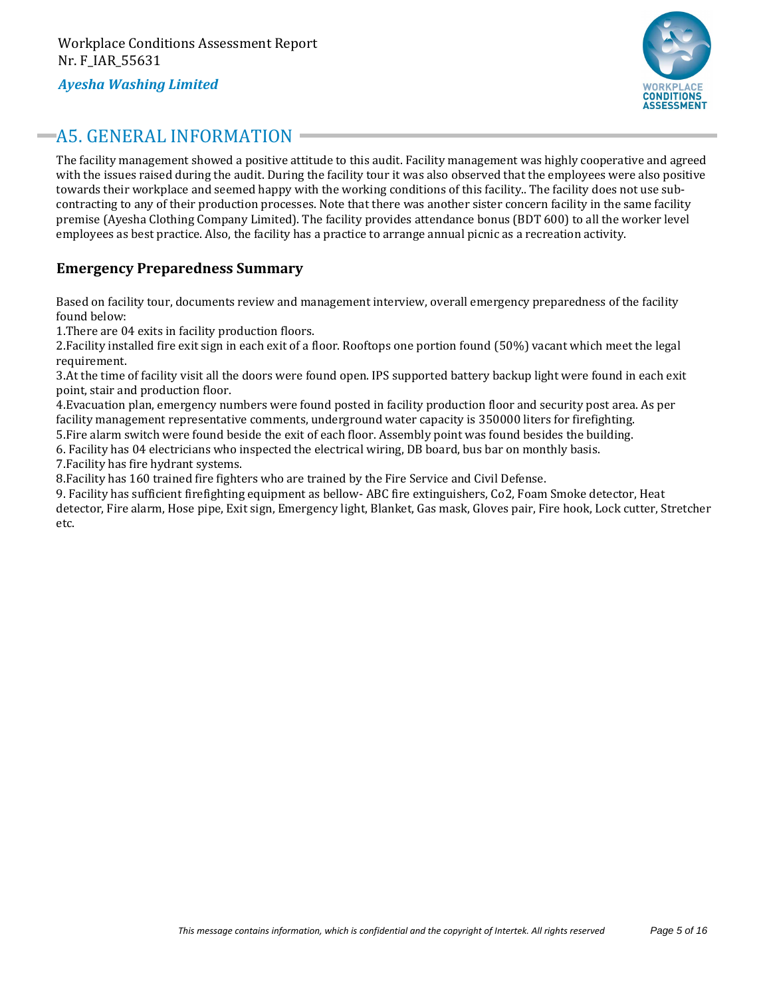

## A5. GENERAL INFORMATION

The facility management showed a positive attitude to this audit. Facility management was highly cooperative and agreed with the issues raised during the audit. During the facility tour it was also observed that the employees were also positive towards their workplace and seemed happy with the working conditions of this facility.. The facility does not use subcontracting to any of their production processes. Note that there was another sister concern facility in the same facility premise (Ayesha Clothing Company Limited). The facility provides attendance bonus (BDT 600) to all the worker level employees as best practice. Also, the facility has a practice to arrange annual picnic as a recreation activity.

#### **Emergency Preparedness Summary**

Based on facility tour, documents review and management interview, overall emergency preparedness of the facility found below:

1.There are 04 exits in facility production floors.

2.Facility installed fire exit sign in each exit of a floor. Rooftops one portion found (50%) vacant which meet the legal requirement.

3.At the time of facility visit all the doors were found open. IPS supported battery backup light were found in each exit point, stair and production floor.

4.Evacuation plan, emergency numbers were found posted in facility production floor and security post area. As per facility management representative comments, underground water capacity is 350000 liters for firefighting. 5.Fire alarm switch were found beside the exit of each floor. Assembly point was found besides the building.

6. Facility has 04 electricians who inspected the electrical wiring, DB board, bus bar on monthly basis.

7.Facility has fire hydrant systems.

8.Facility has 160 trained fire fighters who are trained by the Fire Service and Civil Defense.

9. Facility has sufficient firefighting equipment as bellow- ABC fire extinguishers, Co2, Foam Smoke detector, Heat detector, Fire alarm, Hose pipe, Exit sign, Emergency light, Blanket, Gas mask, Gloves pair, Fire hook, Lock cutter, Stretcher etc.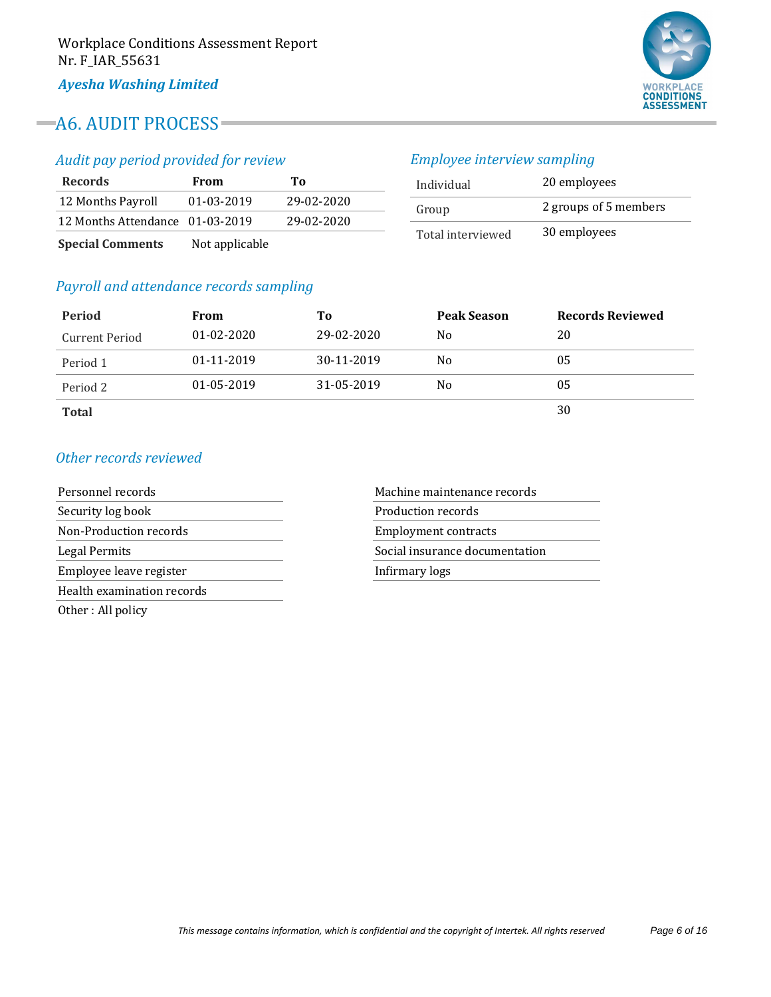# A6. AUDIT PROCESS

## *Audit pay period provided for review*

| <b>Records</b>                  | From             | To         |
|---------------------------------|------------------|------------|
| 12 Months Payroll               | $01 - 03 - 2019$ | 29-02-2020 |
| 12 Months Attendance 01-03-2019 |                  | 29-02-2020 |
| Concial Commonts                | Not applicable   |            |

**Special Comments** Not applicable

## *Payroll and attendance records sampling*

## *Employee interview sampling*

| Individual        | 20 employees          |
|-------------------|-----------------------|
| Group             | 2 groups of 5 members |
| Total interviewed | 30 employees          |

| Period         | From             | Tо         | <b>Peak Season</b> | <b>Records Reviewed</b> |
|----------------|------------------|------------|--------------------|-------------------------|
| Current Period | $01 - 02 - 2020$ | 29-02-2020 | No                 | 20                      |
| Period 1       | 01-11-2019       | 30-11-2019 | No.                | 05                      |
| Period 2       | $01 - 05 - 2019$ | 31-05-2019 | No                 | 05                      |
| <b>Total</b>   |                  |            |                    | 30                      |

#### *Other records reviewed*

| Personnel records          | Machine maintenance records    |
|----------------------------|--------------------------------|
| Security log book          | Production records             |
| Non-Production records     | <b>Employment contracts</b>    |
| Legal Permits              | Social insurance documentation |
| Employee leave register    | Infirmary logs                 |
| Health examination records |                                |
| Other: All policy          |                                |

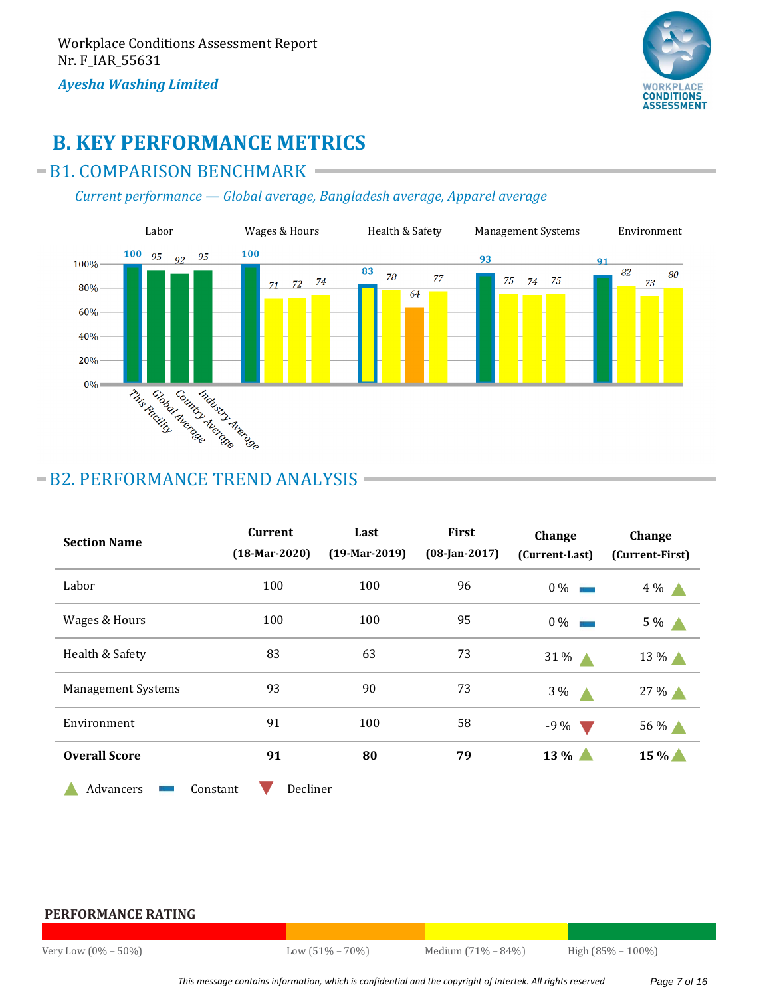

# **B. KEY PERFORMANCE METRICS**

## $-B1.$  COMPARISON BENCHMARK -

#### *Current performance ȄGlobal average, Bangladesh average, Apparel average*



# B2. PERFORMANCE TREND ANALYSIS

| <b>Section Name</b>       | Current<br>$(18-Mar-2020)$ | Last<br>$(19 \text{-} \text{Mar} - 2019)$ | First<br>$(08$ -Jan-2017) | <b>Change</b><br>(Current-Last) | Change<br>(Current-First) |
|---------------------------|----------------------------|-------------------------------------------|---------------------------|---------------------------------|---------------------------|
| Labor                     | 100                        | 100                                       | 96                        | $0\%$                           | $4\%$                     |
| Wages & Hours             | 100                        | 100                                       | 95                        | $0\%$                           | $5\%$                     |
| Health & Safety           | 83                         | 63                                        | 73                        | 31 %                            | 13 %                      |
| <b>Management Systems</b> | 93                         | 90                                        | 73                        | 3 %<br>- 4                      | 27 %                      |
| Environment               | 91                         | 100                                       | 58                        | $-9\%$                          | 56 %                      |
| <b>Overall Score</b>      | 91                         | 80                                        | 79                        | $13\%$                          | $15\%$                    |
| Advancers                 | Decliner<br>Constant       |                                           |                           |                                 |                           |

#### **PERFORMANCE RATING**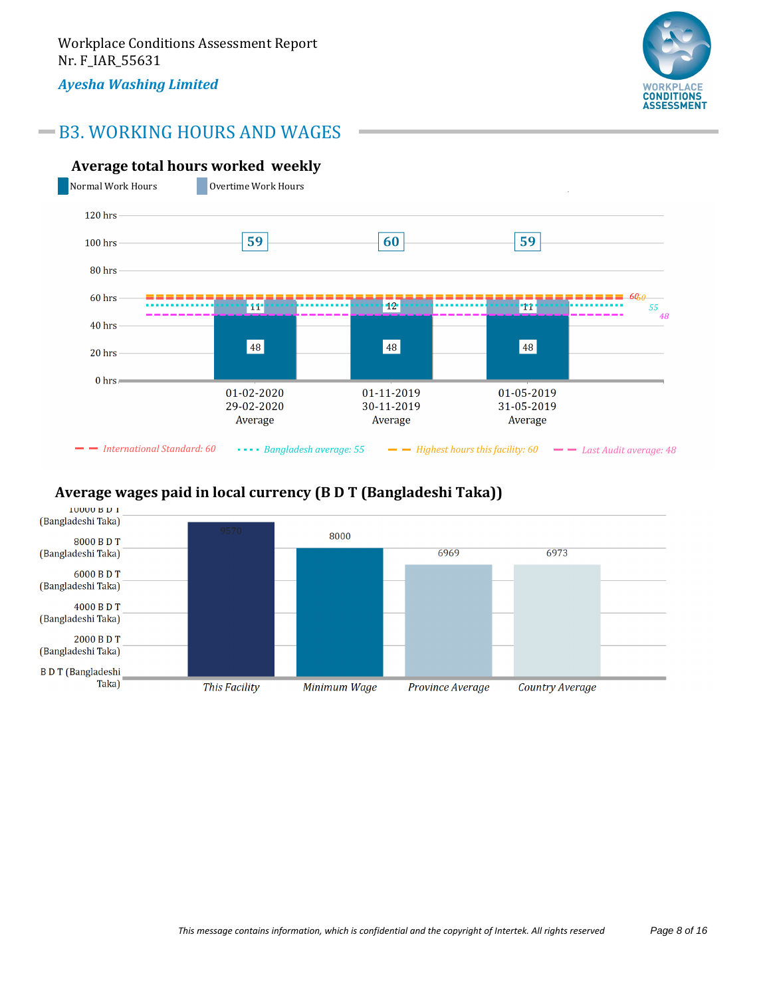

## B3. WORKING HOURS AND WAGES





#### **Average wages paid in local currency (B D T (Bangladeshi Taka))**

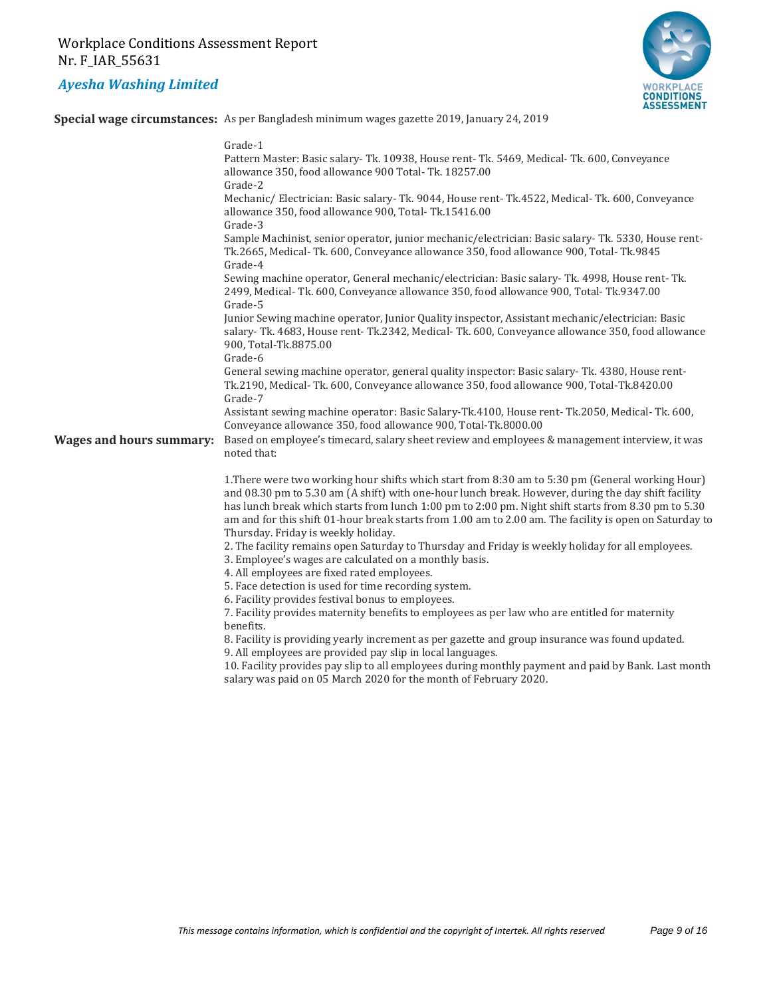

**Special wage circumstances:** As per Bangladesh minimum wages gazette 2019, January 24, 2019

|                                 | Grade-1<br>Pattern Master: Basic salary- Tk. 10938, House rent- Tk. 5469, Medical- Tk. 600, Conveyance<br>allowance 350, food allowance 900 Total- Tk. 18257.00<br>Grade-2<br>Mechanic/Electrician: Basic salary-Tk. 9044, House rent-Tk.4522, Medical-Tk. 600, Conveyance<br>allowance 350, food allowance 900, Total-Tk.15416.00                                                                                                                                                                                                                                                                                              |
|---------------------------------|---------------------------------------------------------------------------------------------------------------------------------------------------------------------------------------------------------------------------------------------------------------------------------------------------------------------------------------------------------------------------------------------------------------------------------------------------------------------------------------------------------------------------------------------------------------------------------------------------------------------------------|
|                                 | Grade-3<br>Sample Machinist, senior operator, junior mechanic/electrician: Basic salary- Tk. 5330, House rent-<br>Tk.2665, Medical-Tk. 600, Conveyance allowance 350, food allowance 900, Total-Tk.9845<br>Grade-4<br>Sewing machine operator, General mechanic/electrician: Basic salary-Tk. 4998, House rent-Tk.                                                                                                                                                                                                                                                                                                              |
|                                 | 2499, Medical- Tk. 600, Conveyance allowance 350, food allowance 900, Total- Tk.9347.00<br>Grade-5<br>Junior Sewing machine operator, Junior Quality inspector, Assistant mechanic/electrician: Basic<br>salary-Tk. 4683, House rent-Tk.2342, Medical-Tk. 600, Conveyance allowance 350, food allowance                                                                                                                                                                                                                                                                                                                         |
|                                 | 900, Total-Tk.8875.00<br>Grade-6<br>General sewing machine operator, general quality inspector: Basic salary- Tk. 4380, House rent-<br>Tk.2190, Medical- Tk. 600, Conveyance allowance 350, food allowance 900, Total-Tk.8420.00<br>Grade-7                                                                                                                                                                                                                                                                                                                                                                                     |
| <b>Wages and hours summary:</b> | Assistant sewing machine operator: Basic Salary-Tk.4100, House rent-Tk.2050, Medical-Tk. 600,<br>Conveyance allowance 350, food allowance 900, Total-Tk.8000.00<br>Based on employee's timecard, salary sheet review and employees & management interview, it was<br>noted that:                                                                                                                                                                                                                                                                                                                                                |
|                                 | 1. There were two working hour shifts which start from 8:30 am to 5:30 pm (General working Hour)<br>and 08.30 pm to 5.30 am (A shift) with one-hour lunch break. However, during the day shift facility<br>has lunch break which starts from lunch 1:00 pm to 2:00 pm. Night shift starts from 8.30 pm to 5.30<br>am and for this shift 01-hour break starts from 1.00 am to 2.00 am. The facility is open on Saturday to<br>Thursday. Friday is weekly holiday.<br>2. The facility remains open Saturday to Thursday and Friday is weekly holiday for all employees.<br>3. Employee's wages are calculated on a monthly basis. |
|                                 | 4. All employees are fixed rated employees.<br>5. Face detection is used for time recording system.<br>6. Facility provides festival bonus to employees.<br>7. Facility provides maternity benefits to employees as per law who are entitled for maternity<br>benefits.<br>8. Facility is providing yearly increment as per gazette and group insurance was found updated.<br>9. All employees are provided pay slip in local languages.<br>10. Facility provides pay slip to all employees during monthly payment and paid by Bank. Last month<br>salary was paid on 05 March 2020 for the month of February 2020.             |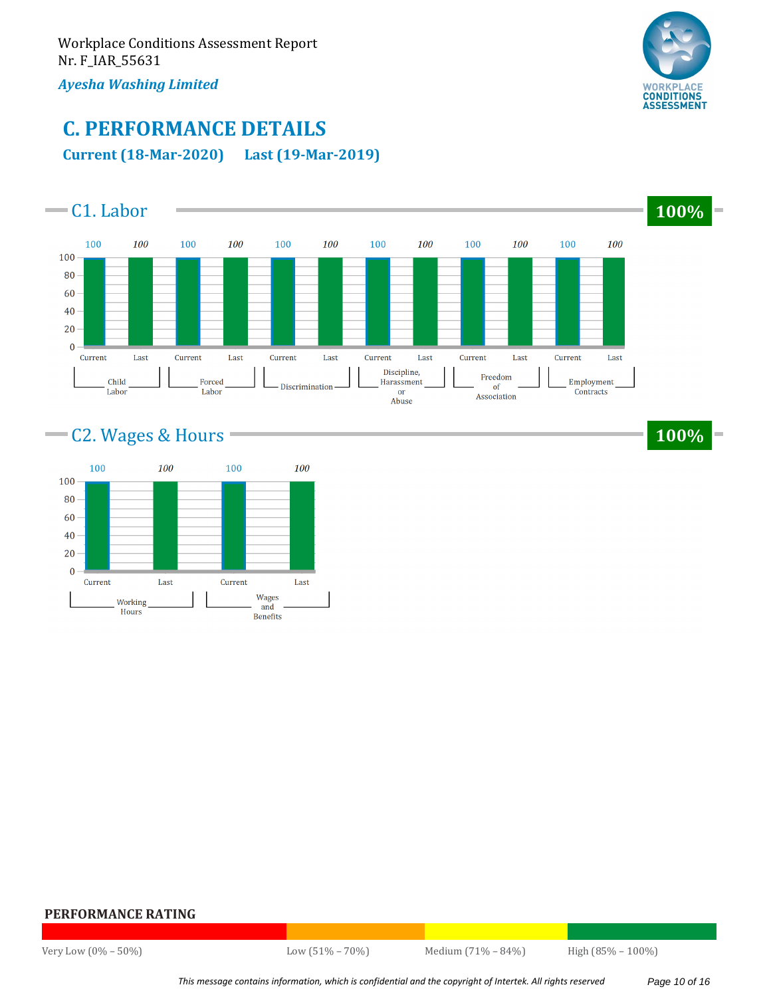

# **C. PERFORMANCE DETAILS Current (18-Mar-2020) Last (19-Mar-2019)**



# C2. Wages & Hours **100%**



#### **PERFORMANCE RATING**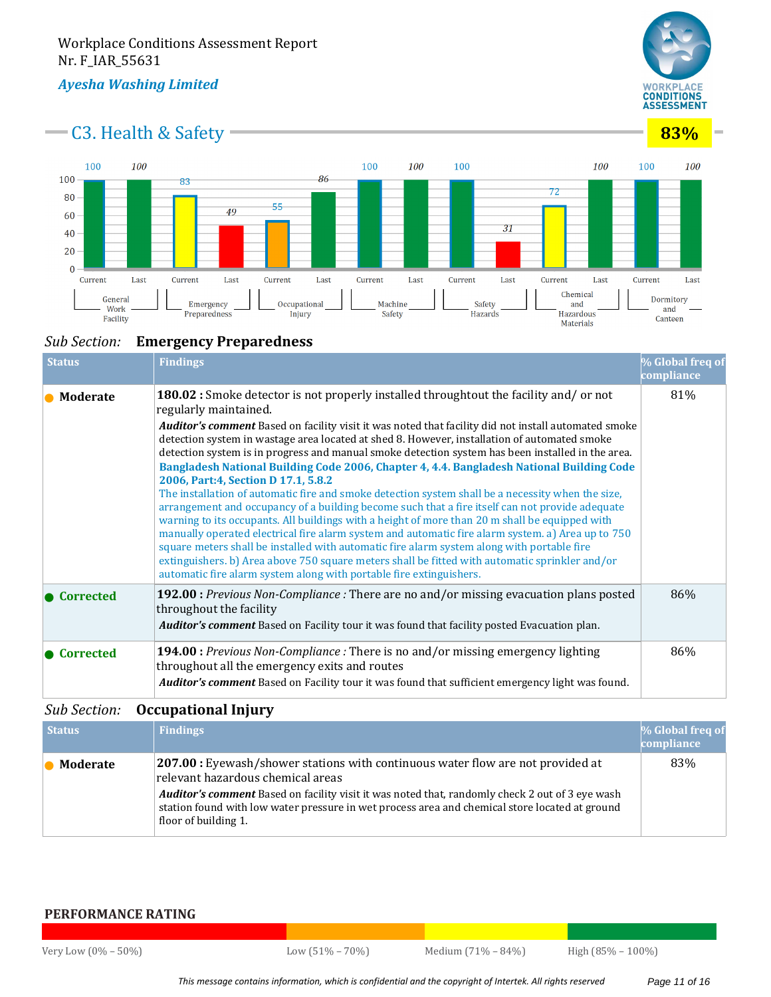

C3. Health & Safety **83%**

Î.



#### *Sub Section:* **Emergency Preparedness**

| <b>Status</b>   | <b>Findings</b>                                                                                                                                                                                                                                                                                                                                                                                                                                                                                                                                                                                                                                                                                                                                                                                                                                                                                                                                                                                                                                                                                                                            | % Global freq of<br>compliance |
|-----------------|--------------------------------------------------------------------------------------------------------------------------------------------------------------------------------------------------------------------------------------------------------------------------------------------------------------------------------------------------------------------------------------------------------------------------------------------------------------------------------------------------------------------------------------------------------------------------------------------------------------------------------------------------------------------------------------------------------------------------------------------------------------------------------------------------------------------------------------------------------------------------------------------------------------------------------------------------------------------------------------------------------------------------------------------------------------------------------------------------------------------------------------------|--------------------------------|
| <b>Moderate</b> | <b>180.02</b> : Smoke detector is not properly installed throughtout the facility and/or not<br>regularly maintained.                                                                                                                                                                                                                                                                                                                                                                                                                                                                                                                                                                                                                                                                                                                                                                                                                                                                                                                                                                                                                      | 81%                            |
|                 | <b>Auditor's comment</b> Based on facility visit it was noted that facility did not install automated smoke<br>detection system in wastage area located at shed 8. However, installation of automated smoke<br>detection system is in progress and manual smoke detection system has been installed in the area.<br>Bangladesh National Building Code 2006, Chapter 4, 4.4. Bangladesh National Building Code<br>2006, Part:4, Section D 17.1, 5.8.2<br>The installation of automatic fire and smoke detection system shall be a necessity when the size,<br>arrangement and occupancy of a building become such that a fire itself can not provide adequate<br>warning to its occupants. All buildings with a height of more than 20 m shall be equipped with<br>manually operated electrical fire alarm system and automatic fire alarm system. a) Area up to 750<br>square meters shall be installed with automatic fire alarm system along with portable fire<br>extinguishers. b) Area above 750 square meters shall be fitted with automatic sprinkler and/or<br>automatic fire alarm system along with portable fire extinguishers. |                                |
| Corrected       | <b>192.00</b> : Previous Non-Compliance: There are no and/or missing evacuation plans posted<br>throughout the facility<br><b>Auditor's comment</b> Based on Facility tour it was found that facility posted Evacuation plan.                                                                                                                                                                                                                                                                                                                                                                                                                                                                                                                                                                                                                                                                                                                                                                                                                                                                                                              | 86%                            |
| • Corrected     | <b>194.00</b> : Previous Non-Compliance: There is no and/or missing emergency lighting<br>throughout all the emergency exits and routes<br>Auditor's comment Based on Facility tour it was found that sufficient emergency light was found.                                                                                                                                                                                                                                                                                                                                                                                                                                                                                                                                                                                                                                                                                                                                                                                                                                                                                                | 86%                            |

#### *Sub Section:* **Occupational Injury**

| <b>Status</b> | <b>Findings</b>                                                                                                                                                                                                                  | <b>% Global freq of</b><br>compliance |
|---------------|----------------------------------------------------------------------------------------------------------------------------------------------------------------------------------------------------------------------------------|---------------------------------------|
| Moderate      | 207.00 : Eyewash/shower stations with continuous water flow are not provided at<br>relevant hazardous chemical areas                                                                                                             | 83%                                   |
|               | <b>Auditor's comment</b> Based on facility visit it was noted that, randomly check 2 out of 3 eye wash<br>station found with low water pressure in wet process area and chemical store located at ground<br>floor of building 1. |                                       |

#### **PERFORMANCE RATING**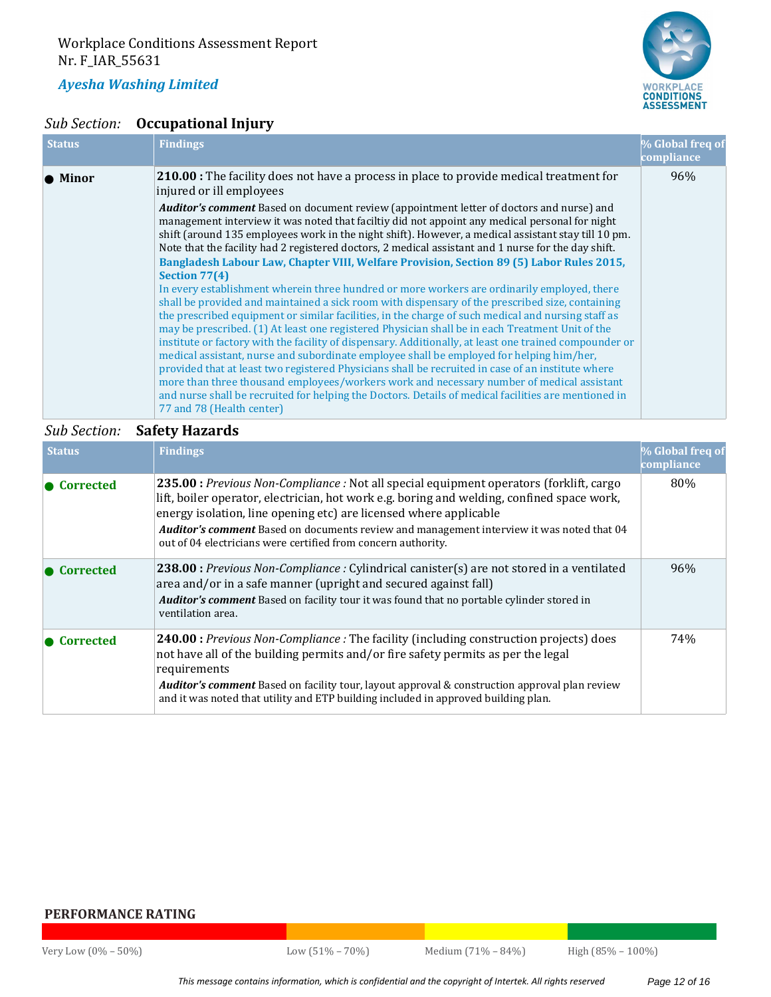

#### *Sub Section:* **Occupational Injury**

| <b>Status</b> | <b>Findings</b>                                                                                                                                                                                                                                                                                                                                                                                                                                                                                                                                                                                                                                                                                                                                                                                                                                                                                                                                                                                                                                                                                                                                                                                                                                                                                                                                                                                                                                                                                                                                                                                             | % Global freq of<br>compliance |
|---------------|-------------------------------------------------------------------------------------------------------------------------------------------------------------------------------------------------------------------------------------------------------------------------------------------------------------------------------------------------------------------------------------------------------------------------------------------------------------------------------------------------------------------------------------------------------------------------------------------------------------------------------------------------------------------------------------------------------------------------------------------------------------------------------------------------------------------------------------------------------------------------------------------------------------------------------------------------------------------------------------------------------------------------------------------------------------------------------------------------------------------------------------------------------------------------------------------------------------------------------------------------------------------------------------------------------------------------------------------------------------------------------------------------------------------------------------------------------------------------------------------------------------------------------------------------------------------------------------------------------------|--------------------------------|
| <b>Minor</b>  | <b>210.00</b> : The facility does not have a process in place to provide medical treatment for<br>injured or ill employees<br>Auditor's comment Based on document review (appointment letter of doctors and nurse) and<br>management interview it was noted that faciltiy did not appoint any medical personal for night<br>shift (around 135 employees work in the night shift). However, a medical assistant stay till 10 pm.<br>Note that the facility had 2 registered doctors, 2 medical assistant and 1 nurse for the day shift.<br>Bangladesh Labour Law, Chapter VIII, Welfare Provision, Section 89 (5) Labor Rules 2015,<br>Section 77(4)<br>In every establishment wherein three hundred or more workers are ordinarily employed, there<br>shall be provided and maintained a sick room with dispensary of the prescribed size, containing<br>the prescribed equipment or similar facilities, in the charge of such medical and nursing staff as<br>may be prescribed. (1) At least one registered Physician shall be in each Treatment Unit of the<br>institute or factory with the facility of dispensary. Additionally, at least one trained compounder or<br>medical assistant, nurse and subordinate employee shall be employed for helping him/her,<br>provided that at least two registered Physicians shall be recruited in case of an institute where<br>more than three thousand employees/workers work and necessary number of medical assistant<br>and nurse shall be recruited for helping the Doctors. Details of medical facilities are mentioned in<br>77 and 78 (Health center) | 96%                            |

#### *Sub Section:* **Safety Hazards**

| <b>Status</b>       | <b>Findings</b>                                                                                                                                                                                                                                                                                                                                                                                                          | % Global freq of<br>compliance |
|---------------------|--------------------------------------------------------------------------------------------------------------------------------------------------------------------------------------------------------------------------------------------------------------------------------------------------------------------------------------------------------------------------------------------------------------------------|--------------------------------|
| • Corrected         | 235.00 : Previous Non-Compliance : Not all special equipment operators (forklift, cargo<br>lift, boiler operator, electrician, hot work e.g. boring and welding, confined space work,<br>energy isolation, line opening etc) are licensed where applicable<br>Auditor's comment Based on documents review and management interview it was noted that 04<br>out of 04 electricians were certified from concern authority. | 80%                            |
| $\bullet$ Corrected | 238.00 : Previous Non-Compliance : Cylindrical canister(s) are not stored in a ventilated<br>area and/or in a safe manner (upright and secured against fall)<br><b>Auditor's comment</b> Based on facility tour it was found that no portable cylinder stored in<br>ventilation area.                                                                                                                                    | 96%                            |
| $\bullet$ Corrected | 240.00: Previous Non-Compliance: The facility (including construction projects) does<br>not have all of the building permits and/or fire safety permits as per the legal<br>requirements<br><b>Auditor's comment</b> Based on facility tour, layout approval & construction approval plan review<br>and it was noted that utility and ETP building included in approved building plan.                                   | 74%                            |

#### **PERFORMANCE RATING**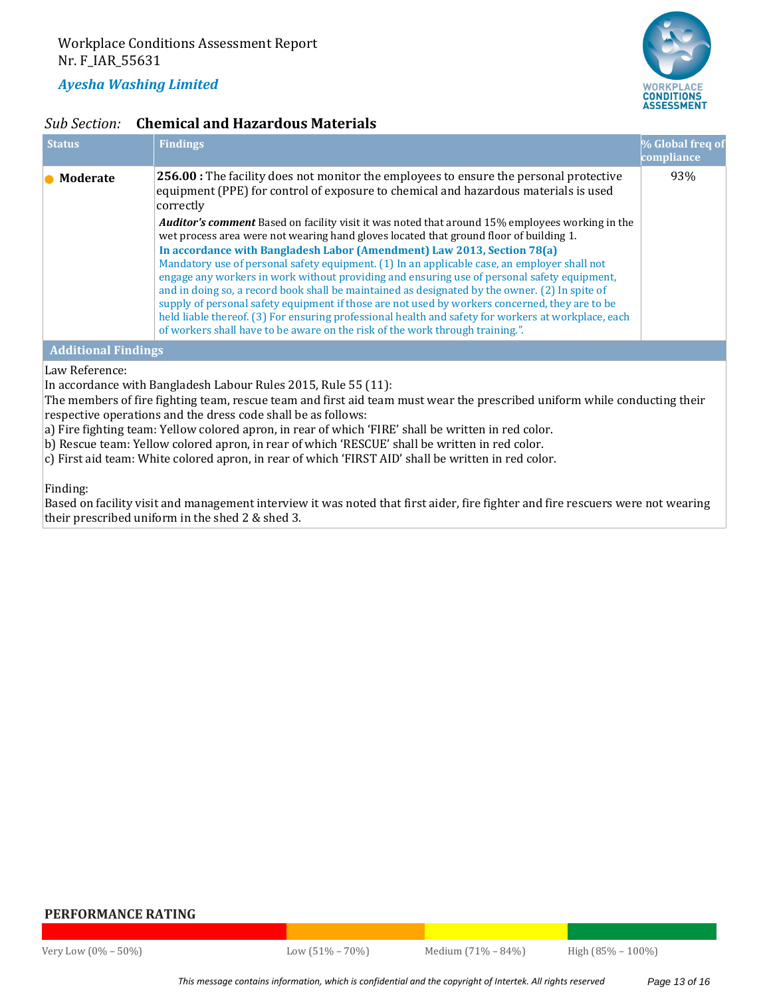

#### *Sub Section:* **Chemical and Hazardous Materials**

| <b>Status</b>                                                               | <b>Findings</b>                                                                                                                                                                                                                                                                                                                                                                                                                                                                                                                                                                                                                                                                                                                                                                                                                                                                                                                                                                                                                                                      | $\%$ Global freq of<br>compliance |
|-----------------------------------------------------------------------------|----------------------------------------------------------------------------------------------------------------------------------------------------------------------------------------------------------------------------------------------------------------------------------------------------------------------------------------------------------------------------------------------------------------------------------------------------------------------------------------------------------------------------------------------------------------------------------------------------------------------------------------------------------------------------------------------------------------------------------------------------------------------------------------------------------------------------------------------------------------------------------------------------------------------------------------------------------------------------------------------------------------------------------------------------------------------|-----------------------------------|
| <b>Moderate</b>                                                             | 256.00 : The facility does not monitor the employees to ensure the personal protective<br>equipment (PPE) for control of exposure to chemical and hazardous materials is used<br>correctly<br><b>Auditor's comment</b> Based on facility visit it was noted that around 15% employees working in the<br>wet process area were not wearing hand gloves located that ground floor of building 1.<br>In accordance with Bangladesh Labor (Amendment) Law 2013, Section 78(a)<br>Mandatory use of personal safety equipment. (1) In an applicable case, an employer shall not<br>engage any workers in work without providing and ensuring use of personal safety equipment,<br>and in doing so, a record book shall be maintained as designated by the owner. (2) In spite of<br>supply of personal safety equipment if those are not used by workers concerned, they are to be<br>held liable thereof. (3) For ensuring professional health and safety for workers at workplace, each<br>of workers shall have to be aware on the risk of the work through training.". | 93%                               |
| <b>Additional Findings</b><br>$\mathbf{I}$ and $\mathbf{D}$ of $\mathbf{L}$ |                                                                                                                                                                                                                                                                                                                                                                                                                                                                                                                                                                                                                                                                                                                                                                                                                                                                                                                                                                                                                                                                      |                                   |

Law Reference:

In accordance with Bangladesh Labour Rules 2015, Rule 55 (11):

The members of fire fighting team, rescue team and first aid team must wear the prescribed uniform while conducting their respective operations and the dress code shall be as follows:

a) Fire fighting team: Yellow colored apron, in rear of which 'FIRE' shall be written in red color.

b) Rescue team: Yellow colored apron, in rear of which 'RESCUE' shall be written in red color.

c) First aid team: White colored apron, in rear of which 'FIRST AID' shall be written in red color.

Finding:

Based on facility visit and management interview it was noted that first aider, fire fighter and fire rescuers were not wearing their prescribed uniform in the shed 2 & shed 3.

#### **PERFORMANCE RATING**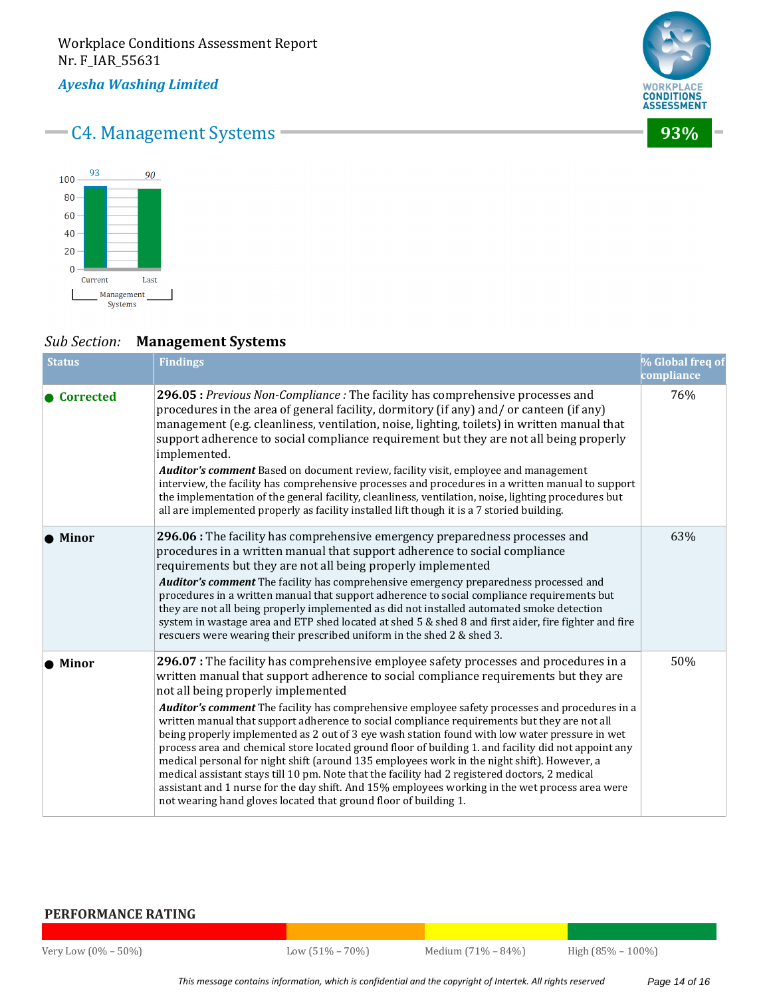# C<sub>4</sub>. Management Systems **193%**



#### *Sub Section:* **Management Systems**

| <b>Status</b> | <b>Findings</b>                                                                                                                                                                                                                                                                                                                                                                                                                                                                                                                                                                                                                                                                                                                                                                                                                                                                                                                                                                                         | % Global freq of<br>compliance |
|---------------|---------------------------------------------------------------------------------------------------------------------------------------------------------------------------------------------------------------------------------------------------------------------------------------------------------------------------------------------------------------------------------------------------------------------------------------------------------------------------------------------------------------------------------------------------------------------------------------------------------------------------------------------------------------------------------------------------------------------------------------------------------------------------------------------------------------------------------------------------------------------------------------------------------------------------------------------------------------------------------------------------------|--------------------------------|
| Corrected     | 296.05 : Previous Non-Compliance : The facility has comprehensive processes and<br>procedures in the area of general facility, dormitory (if any) and/ or canteen (if any)<br>management (e.g. cleanliness, ventilation, noise, lighting, toilets) in written manual that<br>support adherence to social compliance requirement but they are not all being properly<br>implemented.<br>Auditor's comment Based on document review, facility visit, employee and management<br>interview, the facility has comprehensive processes and procedures in a written manual to support<br>the implementation of the general facility, cleanliness, ventilation, noise, lighting procedures but<br>all are implemented properly as facility installed lift though it is a 7 storied building.                                                                                                                                                                                                                   | 76%                            |
| <b>Minor</b>  | 296.06 : The facility has comprehensive emergency preparedness processes and<br>procedures in a written manual that support adherence to social compliance<br>requirements but they are not all being properly implemented<br>Auditor's comment The facility has comprehensive emergency preparedness processed and<br>procedures in a written manual that support adherence to social compliance requirements but<br>they are not all being properly implemented as did not installed automated smoke detection<br>system in wastage area and ETP shed located at shed 5 & shed 8 and first aider, fire fighter and fire<br>rescuers were wearing their prescribed uniform in the shed 2 & shed 3.                                                                                                                                                                                                                                                                                                     | 63%                            |
| Minor         | 296.07 : The facility has comprehensive employee safety processes and procedures in a<br>written manual that support adherence to social compliance requirements but they are<br>not all being properly implemented<br>Auditor's comment The facility has comprehensive employee safety processes and procedures in a<br>written manual that support adherence to social compliance requirements but they are not all<br>being properly implemented as 2 out of 3 eye wash station found with low water pressure in wet<br>process area and chemical store located ground floor of building 1. and facility did not appoint any<br>medical personal for night shift (around 135 employees work in the night shift). However, a<br>medical assistant stays till 10 pm. Note that the facility had 2 registered doctors, 2 medical<br>assistant and 1 nurse for the day shift. And 15% employees working in the wet process area were<br>not wearing hand gloves located that ground floor of building 1. | 50%                            |

#### **PERFORMANCE RATING**

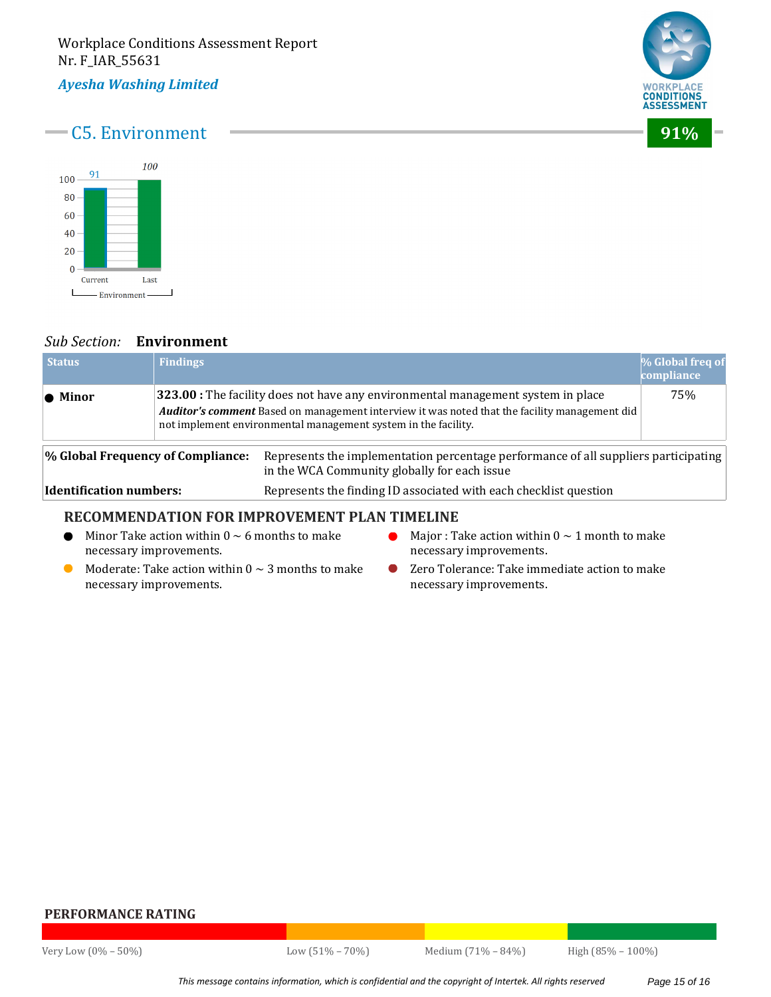



#### *Sub Section:* **Environment**

| <b>Status</b>                     | <b>Findings</b> |                                                                                                                                                                                                                                                     | % Global freq of<br>compliance |  |
|-----------------------------------|-----------------|-----------------------------------------------------------------------------------------------------------------------------------------------------------------------------------------------------------------------------------------------------|--------------------------------|--|
| $\bullet$ Minor                   |                 | 323.00 : The facility does not have any environmental management system in place<br>Auditor's comment Based on management interview it was noted that the facility management did<br>not implement environmental management system in the facility. | 75%                            |  |
| % Global Frequency of Compliance: |                 | Represents the implementation percentage performance of all suppliers participating<br>in the WCA Community globally for each issue                                                                                                                 |                                |  |
| Identification numbers:           |                 | Represents the finding ID associated with each checklist question                                                                                                                                                                                   |                                |  |

#### **RECOMMENDATION FOR IMPROVEMENT PLAN TIMELINE**

- Minor Take action within  $0 \sim 6$  months to make necessary improvements. • Minor Take action within  $0 \sim 6$  months to make **••** Major : Take action within  $0 \sim 1$  month to make
- Moderate: Take action within  $0 \sim 3$  months to make 2ero Tolerance: Take immediate action to make necessary improvements.
- necessary improvements. Q
	- necessary improvements.  $\bullet$

#### **PERFORMANCE RATING**